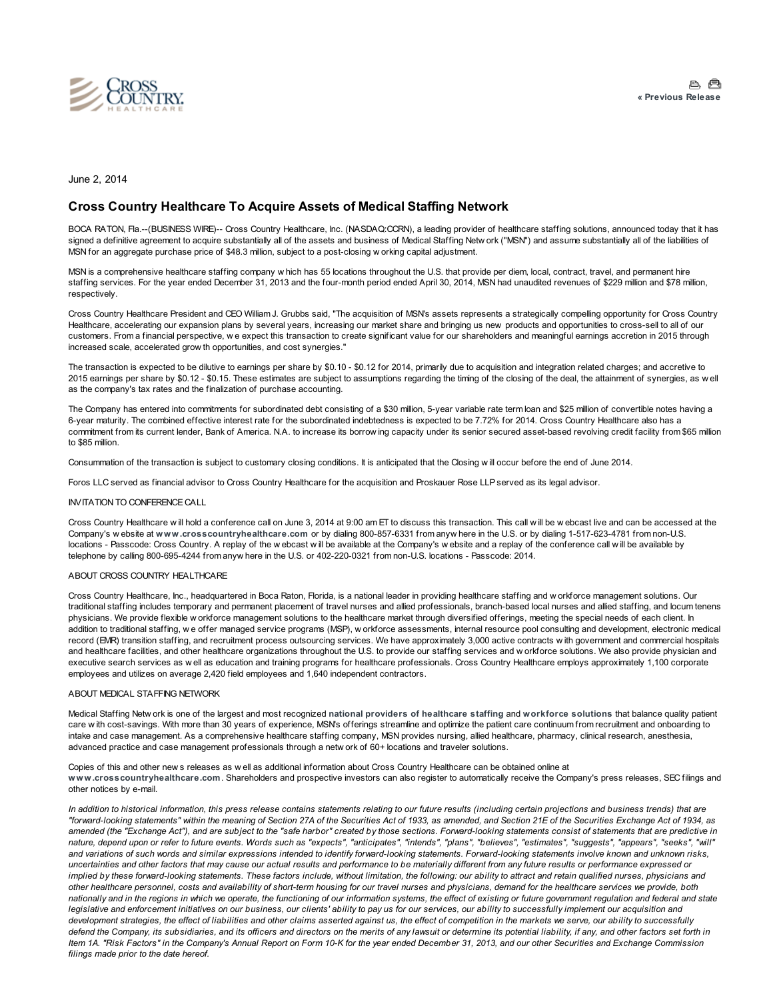

June 2, 2014

## Cross Country Healthcare To Acquire Assets of Medical Staffing Network

BOCA RATON, Fla.--(BUSINESS WIRE)-- Cross Country Healthcare, Inc. (NASDAQ:CCRN), a leading provider of healthcare staffing solutions, announced today that it has signed a definitive agreement to acquire substantially all of the assets and business of Medical Staffing Netw ork ("MSN") and assume substantially all of the liabilities of MSN for an aggregate purchase price of \$48.3 million, subject to a post-closing w orking capital adjustment.

MSN is a comprehensive healthcare staffing company w hich has 55 locations throughout the U.S. that provide per diem, local, contract, travel, and permanent hire staffing services. For the year ended December 31, 2013 and the four-month period ended April 30, 2014, MSN had unaudited revenues of \$229 million and \$78 million, respectively.

Cross Country Healthcare President and CEO William J. Grubbs said, "The acquisition of MSN's assets represents a strategically compelling opportunity for Cross Country Healthcare, accelerating our expansion plans by several years, increasing our market share and bringing us new products and opportunities to cross-sell to all of our customers. From a financial perspective, w e expect this transaction to create significant value for our shareholders and meaningful earnings accretion in 2015 through increased scale, accelerated grow th opportunities, and cost synergies."

The transaction is expected to be dilutive to earnings per share by \$0.10 - \$0.12 for 2014, primarily due to acquisition and integration related charges; and accretive to 2015 earnings per share by \$0.12 - \$0.15. These estimates are subject to assumptions regarding the timing of the closing of the deal, the attainment of synergies, as w ell as the company's tax rates and the finalization of purchase accounting.

The Company has entered into commitments for subordinated debt consisting of a \$30 million, 5-year variable rate term loan and \$25 million of convertible notes having a 6-year maturity. The combined effective interest rate for the subordinated indebtedness is expected to be 7.72% for 2014. Cross Country Healthcare also has a commitment from its current lender, Bank of America. N.A. to increase its borrow ing capacity under its senior secured asset-based revolving credit facility from \$65 million to \$85 million.

Consummation of the transaction is subject to customary closing conditions. It is anticipated that the Closing w ill occur before the end of June 2014.

Foros LLC served as financial advisor to Cross Country Healthcare for the acquisition and Proskauer Rose LLPserved as its legal advisor.

## INVITATION TO CONFERENCE CALL

Cross Country Healthcare w ill hold a conference call on June 3, 2014 at 9:00 am ET to discuss this transaction. This call w ill be w ebcast live and can be accessed at the Company's w ebsite at [www.crosscountryhealthcare.com](http://cts.businesswire.com/ct/CT?id=smartlink&url=http%3A%2F%2Fwww.crosscountryhealthcare.com&esheet=50878120&newsitemid=20140602006635&lan=en-US&anchor=www.crosscountryhealthcare.com&index=1&md5=e218d5c399696425831d17b3ac3e14f2) or by dialing 800-857-6331 from anyw here in the U.S. or by dialing 1-517-623-4781 from non-U.S. locations - Passcode: Cross Country. A replay of the w ebcast w ill be available at the Company's w ebsite and a replay of the conference call w ill be available by telephone by calling 800-695-4244 from anyw here in the U.S. or 402-220-0321 from non-U.S. locations - Passcode: 2014.

## ABOUT CROSS COUNTRY HEALTHCARE

Cross Country Healthcare, Inc., headquartered in Boca Raton, Florida, is a national leader in providing healthcare staffing and w orkforce management solutions. Our traditional staffing includes temporary and permanent placement of travel nurses and allied professionals, branch-based local nurses and allied staffing, and locum tenens physicians. We provide flexible w orkforce management solutions to the healthcare market through diversified offerings, meeting the special needs of each client. In addition to traditional staffing, we offer managed service programs (MSP), workforce assessments, internal resource pool consulting and development, electronic medical record (EMR) transition staffing, and recruitment process outsourcing services. We have approximately 3,000 active contracts w ith government and commercial hospitals and healthcare facilities, and other healthcare organizations throughout the U.S. to provide our staffing services and w orkforce solutions. We also provide physician and executive search services as w ell as education and training programs for healthcare professionals. Cross Country Healthcare employs approximately 1,100 corporate employees and utilizes on average 2,420 field employees and 1,640 independent contractors.

## ABOUT MEDICAL STAFFING NETWORK

Medical Staffing Netw ork is one of the largest and most recognized national providers of [healthcare](http://cts.businesswire.com/ct/CT?id=smartlink&url=http%3A%2F%2Fwww.msnhealth.com%2Fhealthcare-staffing%2Fsolutions%2F&esheet=50878120&newsitemid=20140602006635&lan=en-US&anchor=national+providers+of+healthcare+staffing&index=2&md5=246b1054802ff1d16389ef37c1677bc7) staffing and [workforce](http://cts.businesswire.com/ct/CT?id=smartlink&url=http%3A%2F%2Fwww.msnhealth.com%2Fhealthcare-staffing%2Fsolutions%2F&esheet=50878120&newsitemid=20140602006635&lan=en-US&anchor=workforce+solutions&index=3&md5=9664d3a3c2655d16c6f4f714ea2dc595) solutions that balance quality patient care w ith cost-savings. With more than 30 years of experience, MSN's offerings streamline and optimize the patient care continuum from recruitment and onboarding to intake and case management. As a comprehensive healthcare staffing company, MSN provides nursing, allied healthcare, pharmacy, clinical research, anesthesia, advanced practice and case management professionals through a netw ork of 60+ locations and traveler solutions.

Copies of this and other new s releases as w ell as additional information about Cross Country Healthcare can be obtained online at [www.crosscountryhealthcare.com](http://cts.businesswire.com/ct/CT?id=smartlink&url=http%3A%2F%2Fwww.crosscountryhealthcare.com&esheet=50878120&newsitemid=20140602006635&lan=en-US&anchor=www.crosscountryhealthcare.com&index=4&md5=e7bbb6e34237142ef3e371754af91945). Shareholders and prospective investors can also register to automatically receive the Company's press releases, SEC filings and other notices by e-mail.

In addition to historical information, this press release contains statements relating to our future results (including certain projections and business trends) that are "forward-looking statements" within the meaning of Section 27A of the Securities Act of 1933, as amended, and Section 21E of the Securities Exchange Act of 1934, as amended (the "Exchange Act"), and are subject to the "safe harbor" created by those sections. Forward-looking statements consist of statements that are predictive in nature, depend upon or refer to future events. Words such as "expects", "anticipates", "intends", "plans", "believes", "estimates", "suggests", "appears", "seeks", "will" and variations of such words and similar expressions intended to identify forward-looking statements. Forward-looking statements involve known and unknown risks, uncertainties and other factors that may cause our actual results and performance to be materially different from any future results or performance expressed or implied by these forward-looking statements. These factors include, without limitation, the following: our ability to attract and retain qualified nurses, physicians and other healthcare personnel, costs and availability of short-term housing for our travel nurses and physicians, demand for the healthcare services we provide, both nationally and in the regions in which we operate, the functioning of our information systems, the effect of existing or future government regulation and federal and state legislative and enforcement initiatives on our business, our clients' ability to pay us for our services, our ability to successfully implement our acquisition and development strategies, the effect of liabilities and other claims asserted against us, the effect of competition in the markets we serve, our ability to successfully defend the Company, its subsidiaries, and its officers and directors on the merits of any lawsuit or determine its potential liability, if any, and other factors set forth in Item 1A. "Risk Factors" in the Company's Annual Report on Form 10-K for the year ended December 31, 2013, and our other Securities and Exchange Commission filings made prior to the date hereof.